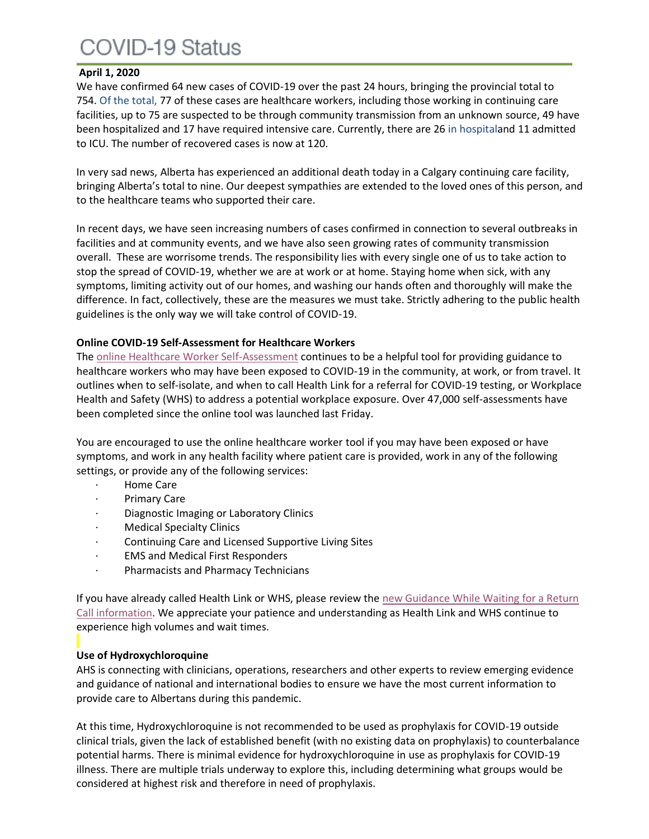## COVID-19 Status

#### **April 1, 2020**

We have confirmed 64 new cases of COVID-19 over the past 24 hours, bringing the provincial total to 754. Of the total, 77 of these cases are healthcare workers, including those working in continuing care facilities, up to 75 are suspected to be through community transmission from an unknown source, 49 have been hospitalized and 17 have required intensive care. Currently, there are 26 in hospitaland 11 admitted to ICU. The number of recovered cases is now at 120.

In very sad news, Alberta has experienced an additional death today in a Calgary continuing care facility, bringing Alberta's total to nine. Our deepest sympathies are extended to the loved ones of this person, and to the healthcare teams who supported their care.

In recent days, we have seen increasing numbers of cases confirmed in connection to several outbreaks in facilities and at community events, and we have also seen growing rates of community transmission overall. These are worrisome trends. The responsibility lies with every single one of us to take action to stop the spread of COVID-19, whether we are at work or at home. Staying home when sick, with any symptoms, limiting activity out of our homes, and washing our hands often and thoroughly will make the difference. In fact, collectively, these are the measures we must take. Strictly adhering to the public health guidelines is the only way we will take control of COVID-19.

#### **Online COVID-19 Self-Assessment for Healthcare Workers**

The [online Healthcare Worker Self-Assessment](https://myhealth.alberta.ca/Journey/COVID-19/Pages/HWAssessLanding.aspx) continues to be a helpful tool for providing guidance to healthcare workers who may have been exposed to COVID-19 in the community, at work, or from travel. It outlines when to self-isolate, and when to call Health Link for a referral for COVID-19 testing, or Workplace Health and Safety (WHS) to address a potential workplace exposure. Over 47,000 self-assessments have been completed since the online tool was launched last Friday.

You are encouraged to use the online healthcare worker tool if you may have been exposed or have symptoms, and work in any health facility where patient care is provided, work in any of the following settings, or provide any of the following services:

- · Home Care
- Primary Care
- · Diagnostic Imaging or Laboratory Clinics
- · Medical Specialty Clinics
- · Continuing Care and Licensed Supportive Living Sites
- · EMS and Medical First Responders
- · Pharmacists and Pharmacy Technicians

If you have already called Health Link or WHS, please review the new Guidance While Waiting for a Return [Call information.](https://www.albertahealthservices.ca/topics/page17031.aspx) We appreciate your patience and understanding as Health Link and WHS continue to experience high volumes and wait times.

### **Use of Hydroxychloroquine**

AHS is connecting with clinicians, operations, researchers and other experts to review emerging evidence and guidance of national and international bodies to ensure we have the most current information to provide care to Albertans during this pandemic.

At this time, Hydroxychloroquine is not recommended to be used as prophylaxis for COVID-19 outside clinical trials, given the lack of established benefit (with no existing data on prophylaxis) to counterbalance potential harms. There is minimal evidence for hydroxychloroquine in use as prophylaxis for COVID-19 illness. There are multiple trials underway to explore this, including determining what groups would be considered at highest risk and therefore in need of prophylaxis.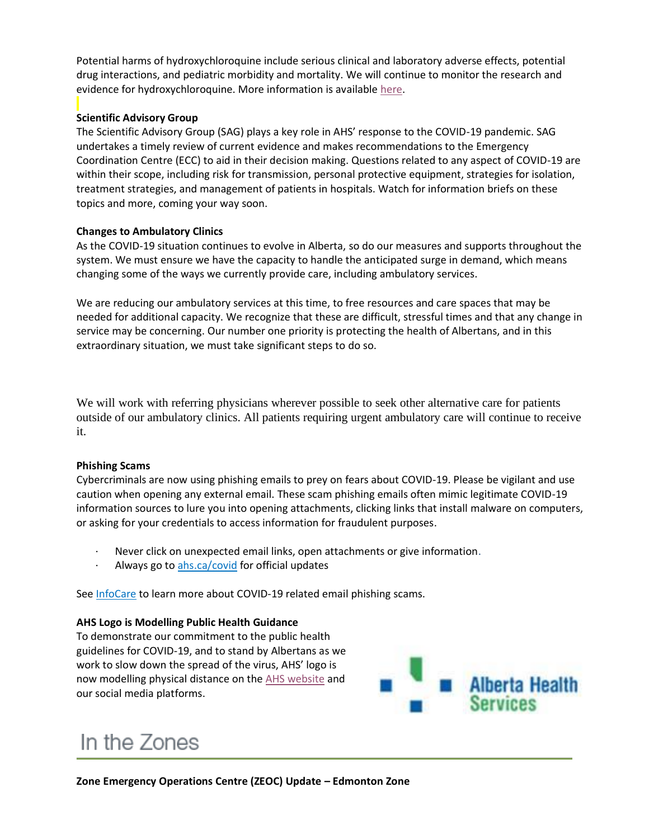Potential harms of hydroxychloroquine include serious clinical and laboratory adverse effects, potential drug interactions, and pediatric morbidity and mortality. We will continue to monitor the research and evidence for hydroxychloroquine. More information is available [here.](https://www.albertahealthservices.ca/assets/info/ppih/if-ppih-covid-19-chloroquine-hydroxychloroquine-rapid-response-report.pdf)

## **Scientific Advisory Group**

The Scientific Advisory Group (SAG) plays a key role in AHS' response to the COVID-19 pandemic. SAG undertakes a timely review of current evidence and makes recommendations to the Emergency Coordination Centre (ECC) to aid in their decision making. Questions related to any aspect of COVID-19 are within their scope, including risk for transmission, personal protective equipment, strategies for isolation, treatment strategies, and management of patients in hospitals. Watch for information briefs on these topics and more, coming your way soon.

#### **Changes to Ambulatory Clinics**

As the COVID-19 situation continues to evolve in Alberta, so do our measures and supports throughout the system. We must ensure we have the capacity to handle the anticipated surge in demand, which means changing some of the ways we currently provide care, including ambulatory services.

We are reducing our ambulatory services at this time, to free resources and care spaces that may be needed for additional capacity. We recognize that these are difficult, stressful times and that any change in service may be concerning. Our number one priority is protecting the health of Albertans, and in this extraordinary situation, we must take significant steps to do so.

We will work with referring physicians wherever possible to seek other alternative care for patients outside of our ambulatory clinics. All patients requiring urgent ambulatory care will continue to receive it.

#### **Phishing Scams**

Cybercriminals are now using phishing emails to prey on fears about COVID-19. Please be vigilant and use caution when opening any external email. These scam phishing emails often mimic legitimate COVID-19 information sources to lure you into opening attachments, clicking links that install malware on computers, or asking for your credentials to access information for fraudulent purposes.

- Never click on unexpected email links, open attachments or give information.
- Always go to [ahs.ca/covid](https://www.albertahealthservices.ca/topics/Page16944.aspx) for official updates

See [InfoCare](https://insite.albertahealthservices.ca/tools/infocare/Page24511.aspx) to learn more about COVID-19 related email phishing scams.

#### **AHS Logo is Modelling Public Health Guidance**

To demonstrate our commitment to the public health guidelines for COVID-19, and to stand by Albertans as we work to slow down the spread of the virus, AHS' logo is now modelling physical distance on the [AHS website](http://www.ahs.ca/) and our social media platforms.



# In the Zones